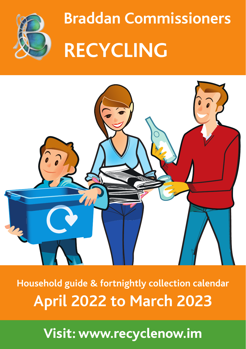

**Braddan Commissioners Visit: www.recyclenow.im RECYCLING**



Household guide & fortnightly collection calendaries **2** to Ma **Household guide & fortnightly collection calendar April 2022 to March 2023**

**Visit: www.recyclenow.im**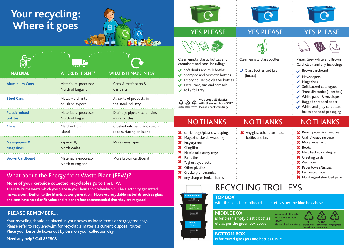# **Your recycling: Where it goes**

| <b>MATERIAL</b>                             | <b>WHERE IS IT SENT?</b>                   | <b>WHAT IS IT MADE IN TO?</b>                             |
|---------------------------------------------|--------------------------------------------|-----------------------------------------------------------|
| <b>Aluminium Cans</b>                       | Material re-processor,<br>North of England | Cans, Aircraft parts &<br>Car parts                       |
| <b>Steel Cans</b>                           | <b>Metal Merchants</b><br>on Island export | All sorts of products in<br>the steel industry            |
| <b>Plastic-mixed</b><br><b>bottles</b>      | Material re-processor,<br>North of England | Drainage pipes, kitchen bins,<br>more bottles             |
| <b>Glass</b>                                | Merchant on<br>Island                      | Crushed into sand and used in<br>road surfacing on Island |
| <b>Newspapers &amp;</b><br><b>Magazines</b> | Paper mill,<br><b>North Wales</b>          | More newspaper                                            |
| <b>Brown Cardboard</b>                      | Material re-processor,<br>North of England | More brown cardboard                                      |

## What about the Energy from Waste Plant (EFW)?

**None of your kerbside collected recyclables go to the EFW.**

**The EFW burns waste which you place in your household wheelie bin. The electricity generated makes a contribution to the Islands power generation. However, recyclable materials such as glass and cans have no calorific value and it is therefore recommended that they are recycled.**

## **PLEASE REMEMBER...**

Your recycling should be placed in your boxes as loose items or segregated bags. Please refer to recylenow.im for recyclable materials current disposal routes. **Place your kerbside boxes out by 6am on your collection day.**

**Need any help? Call 852808**



## YES PLEASE YES PLEASE



## YES PLEASE



**Clean empty** plastic bottles and containers and cans, including:

- Soft drinks and milk bottles
- ◆ Shampoo and cosmetic bottles
- ◆ Empty household cleaner bottles
- $\blacktriangleright$  Metal cans, tins and aerosols  $\sqrt{\phantom{a}}$  Foil / foil trays

**We accept all plastics with these symbols ONLY. PET PE-HD PPPlease check carefully. Polyethylene Terephthalate Polyethylene High-Density Polypropylene**

# NO THANKS NO THANKS

- **X** carrier bags/plastic wrappings **X** Magazine plastic wrapping **X** Polystyrene
- **X** Clingfilm

⚠

- $\mathbf{\times}$  Plastic take away trays
- Paint tins
- **X** Yoghurt type pots
- **X** Other plastics **X** Crockery or ceramics
- **X** Any sharp or broken items



**Clean empty** glass bottles:

(intact)



Paper, Grey, white and Brown Card, clean and dry, including:

- Brown cardboard
- Newspapers
- $M$ Magazines
- $\triangle$  Soft backed catalogues
- $\blacklozenge$  Phone directories (1 per box)
- White paper & envelopes
- Bagged shredded paper
- White and grey cardboard
- boxes and food packaging

## NO THANKS

l **X** Brown paper & envelopes **X** Craft / wrapping paper **X** Milk / juice cartons **X**Books **\*** Hard backed catalogues **X** Greeting cards **X** Wallpaper **X** Paper towels/tissues **X** Laminated paper **X** Non bagged shredded paper **X** Any glass other than intact



# RECYCLING TROLLEYS

bottles and jars

### **TOP BOX**

with the lid is for cardboard, paper etc as per the blue box above

### **MIDDLE BOX**

is for clean empty plastic bottles etc as per the green box above





### **BOTTOM BOX**

is for mixed glass jars and bottles ONLY